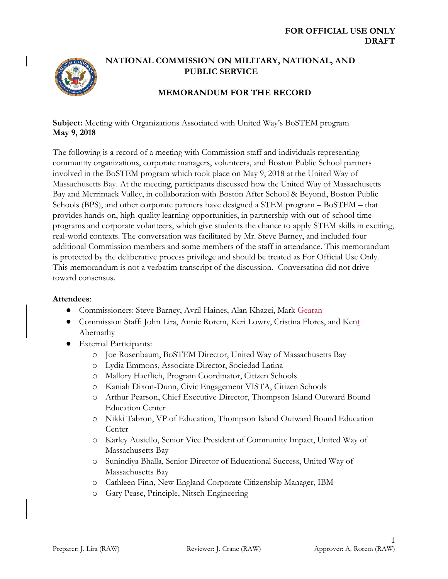

## **NATIONAL COMMISSION ON MILITARY, NATIONAL, AND PUBLIC SERVICE**

# **MEMORANDUM FOR THE RECORD**

**Subject:** Meeting with Organizations Associated with United Way's BoSTEM program **May 9, 2018**

The following is a record of a meeting with Commission staff and individuals representing community organizations, corporate managers, volunteers, and Boston Public School partners involved in the BoSTEM program which took place on May 9, 2018 at the United Way of Massachusetts Bay. At the meeting, participants discussed how the United Way of Massachusetts Bay and Merrimack Valley, in collaboration with Boston After School & Beyond, Boston Public Schools (BPS), and other corporate partners have designed a STEM program – BoSTEM – that provides hands-on, high-quality learning opportunities, in partnership with out-of-school time programs and corporate volunteers, which give students the chance to apply STEM skills in exciting, real-world contexts. The conversation was facilitated by Mr. Steve Barney, and included four additional Commission members and some members of the staff in attendance. This memorandum is protected by the deliberative process privilege and should be treated as For Official Use Only. This memorandum is not a verbatim transcript of the discussion. Conversation did not drive toward consensus.

#### **Attendees**:

- Commissioners: Steve Barney, Avril Haines, Alan Khazei, Mark Gearan
- Commission Staff: John Lira, Annie Rorem, Keri Lowry, Cristina Flores, and Kent Abernathy
- External Participants:
	- o Joe Rosenbaum, BoSTEM Director, United Way of Massachusetts Bay
	- o Lydia Emmons, Associate Director, Sociedad Latina
	- o Mallory Haeflich, Program Coordinator, Citizen Schools
	- o Kaniah Dixon-Dunn, Civic Engagement VISTA, Citizen Schools
	- o Arthur Pearson, Chief Executive Director, Thompson Island Outward Bound Education Center
	- o Nikki Tabron, VP of Education, Thompson Island Outward Bound Education Center
	- o Karley Ausiello, Senior Vice President of Community Impact, United Way of Massachusetts Bay
	- o Sunindiya Bhalla, Senior Director of Educational Success, United Way of Massachusetts Bay
	- o Cathleen Finn, New England Corporate Citizenship Manager, IBM
	- o Gary Pease, Principle, Nitsch Engineering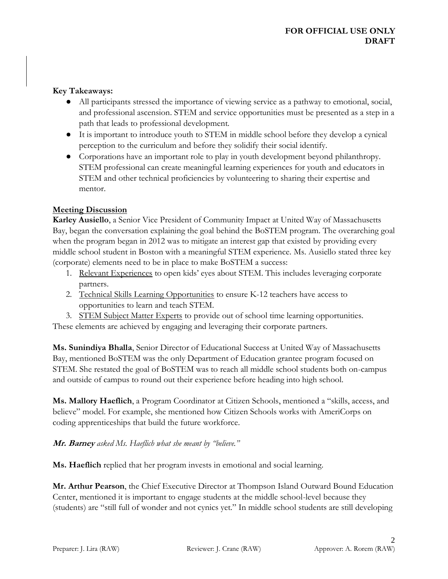#### **Key Takeaways:**

- All participants stressed the importance of viewing service as a pathway to emotional, social, and professional ascension. STEM and service opportunities must be presented as a step in a path that leads to professional development.
- It is important to introduce youth to STEM in middle school before they develop a cynical perception to the curriculum and before they solidify their social identify.
- Corporations have an important role to play in youth development beyond philanthropy. STEM professional can create meaningful learning experiences for youth and educators in STEM and other technical proficiencies by volunteering to sharing their expertise and mentor.

### **Meeting Discussion**

**Karley Ausiello**, a Senior Vice President of Community Impact at United Way of Massachusetts Bay, began the conversation explaining the goal behind the BoSTEM program. The overarching goal when the program began in 2012 was to mitigate an interest gap that existed by providing every middle school student in Boston with a meaningful STEM experience. Ms. Ausiello stated three key (corporate) elements need to be in place to make BoSTEM a success:

- 1. Relevant Experiences to open kids' eyes about STEM. This includes leveraging corporate partners.
- 2. Technical Skills Learning Opportunities to ensure K-12 teachers have access to opportunities to learn and teach STEM.
- 3. STEM Subject Matter Experts to provide out of school time learning opportunities.

These elements are achieved by engaging and leveraging their corporate partners.

**Ms. Sunindiya Bhalla**, Senior Director of Educational Success at United Way of Massachusetts Bay, mentioned BoSTEM was the only Department of Education grantee program focused on STEM. She restated the goal of BoSTEM was to reach all middle school students both on-campus and outside of campus to round out their experience before heading into high school.

**Ms. Mallory Haeflich**, a Program Coordinator at Citizen Schools, mentioned a "skills, access, and believe" model. For example, she mentioned how Citizen Schools works with AmeriCorps on coding apprenticeships that build the future workforce.

### **Mr. Barney** *asked Ms. Haeflich what she meant by "believe."*

**Ms. Haeflich** replied that her program invests in emotional and social learning.

**Mr. Arthur Pearson**, the Chief Executive Director at Thompson Island Outward Bound Education Center, mentioned it is important to engage students at the middle school-level because they (students) are "still full of wonder and not cynics yet." In middle school students are still developing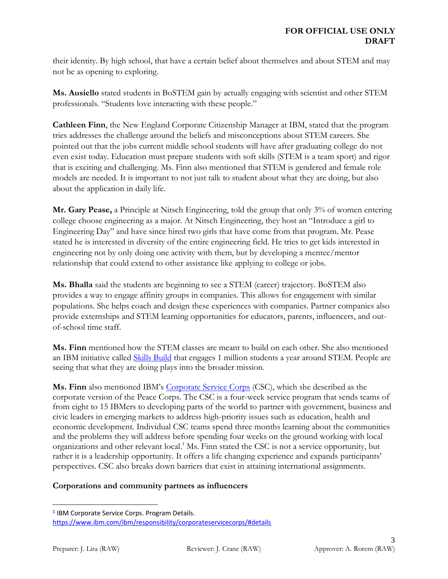their identity. By high school, that have a certain belief about themselves and about STEM and may not be as opening to exploring.

**Ms. Ausiello** stated students in BoSTEM gain by actually engaging with scientist and other STEM professionals. "Students love interacting with these people."

**Cathleen Finn**, the New England Corporate Citizenship Manager at IBM, stated that the program tries addresses the challenge around the beliefs and misconceptions about STEM careers. She pointed out that the jobs current middle school students will have after graduating college do not even exist today. Education must prepare students with soft skills (STEM is a team sport) and rigor that is exciting and challenging. Ms. Finn also mentioned that STEM is gendered and female role models are needed. It is important to not just talk to student about what they are doing, but also about the application in daily life.

**Mr. Gary Pease,** a Principle at Nitsch Engineering, told the group that only 3% of women entering college choose engineering as a major. At Nitsch Engineering, they host an "Introduce a girl to Engineering Day" and have since hired two girls that have come from that program. Mr. Pease stated he is interested in diversity of the entire engineering field. He tries to get kids interested in engineering not by only doing one activity with them, but by developing a mentee/mentor relationship that could extend to other assistance like applying to college or jobs.

**Ms. Bhalla** said the students are beginning to see a STEM (career) trajectory. BoSTEM also provides a way to engage affinity groups in companies. This allows for engagement with similar populations. She helps coach and design these experiences with companies. Partner companies also provide externships and STEM learning opportunities for educators, parents, influencers, and outof-school time staff.

**Ms. Finn** mentioned how the STEM classes are meant to build on each other. She also mentioned an IBM initiative called **Skills Build** that engages 1 million students a year around STEM. People are seeing that what they are doing plays into the broader mission.

**Ms. Finn** also mentioned IBM's [Corporate Service Corps](https://www.ibm.com/ibm/responsibility/corporateservicecorps/) (CSC), which she described as the corporate version of the Peace Corps. The CSC is a four-week service program that sends teams of from eight to 15 IBMers to developing parts of the world to partner with government, business and civic leaders in emerging markets to address high-priority issues such as education, health and economic development. Individual CSC teams spend three months learning about the communities and the problems they will address before spending four weeks on the ground working with local organizations and other relevant local. <sup>1</sup> Ms. Finn stated the CSC is not a service opportunity, but rather it is a leadership opportunity. It offers a life changing experience and expands participants' perspectives. CSC also breaks down barriers that exist in attaining international assignments.

#### **Corporations and community partners as influencers**

 $\overline{a}$ 

<sup>&</sup>lt;sup>1</sup> IBM Corporate Service Corps. Program Details. <https://www.ibm.com/ibm/responsibility/corporateservicecorps/#details>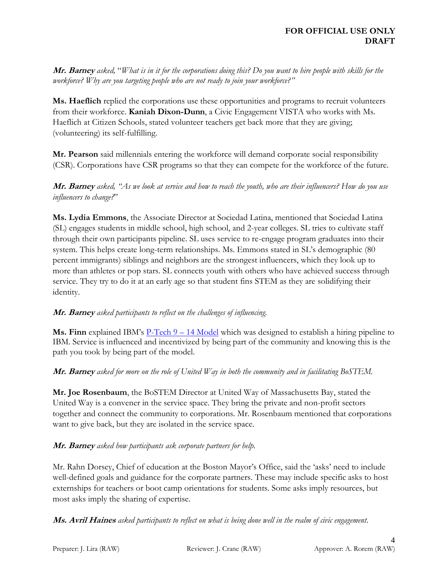**Mr. Barney** *asked,* "*What is in it for the corporations doing this? Do you want to hire people with skills for the workforce? Why are you targeting people who are not ready to join your workforce?"*

**Ms. Haeflich** replied the corporations use these opportunities and programs to recruit volunteers from their workforce. **Kaniah Dixon-Dunn**, a Civic Engagement VISTA who works with Ms. Haeflich at Citizen Schools, stated volunteer teachers get back more that they are giving; (volunteering) its self-fulfilling.

**Mr. Pearson** said millennials entering the workforce will demand corporate social responsibility (CSR). Corporations have CSR programs so that they can compete for the workforce of the future.

**Mr. Barney** *asked, "As we look at service and how to reach the youth, who are their influencers? How do you use influencers to change?*"

**Ms. Lydia Emmons**, the Associate Director at Sociedad Latina, mentioned that Sociedad Latina (SL) engages students in middle school, high school, and 2-year colleges. SL tries to cultivate staff through their own participants pipeline. SL uses service to re-engage program graduates into their system. This helps create long-term relationships. Ms. Emmons stated in SL's demographic (80 percent immigrants) siblings and neighbors are the strongest influencers, which they look up to more than athletes or pop stars. SL connects youth with others who have achieved success through service. They try to do it at an early age so that student fins STEM as they are solidifying their identity.

### **Mr. Barney** *asked participants to reflect on the challenges of influencing.*

**Ms. Finn** explained IBM's [P-Tech 9](http://www.ptech.org/) – 14 Model which was designed to establish a hiring pipeline to IBM. Service is influenced and incentivized by being part of the community and knowing this is the path you took by being part of the model.

**Mr. Barney** *asked for more on the role of United Way in both the community and in facilitating BoSTEM.*

**Mr. Joe Rosenbaum**, the BoSTEM Director at United Way of Massachusetts Bay, stated the United Way is a convener in the service space. They bring the private and non-profit sectors together and connect the community to corporations. Mr. Rosenbaum mentioned that corporations want to give back, but they are isolated in the service space.

### **Mr. Barney** *asked how participants ask corporate partners for help.*

Mr. Rahn Dorsey, Chief of education at the Boston Mayor's Office, said the 'asks' need to include well-defined goals and guidance for the corporate partners. These may include specific asks to host externships for teachers or boot camp orientations for students. Some asks imply resources, but most asks imply the sharing of expertise.

**Ms. Avril Haines** *asked participants to reflect on what is being done well in the realm of civic engagement.*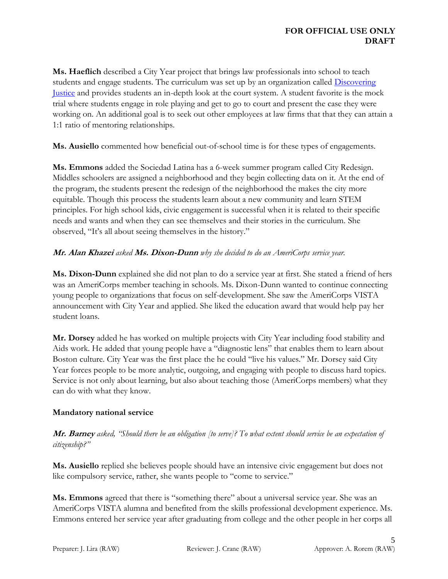**Ms. Haeflich** described a City Year project that brings law professionals into school to teach students and engage students. The curriculum was set up by an organization called [Discovering](http://discoveringjustice.org/)  [Justice](http://discoveringjustice.org/) and provides students an in-depth look at the court system. A student favorite is the mock trial where students engage in role playing and get to go to court and present the case they were working on. An additional goal is to seek out other employees at law firms that that they can attain a 1:1 ratio of mentoring relationships.

**Ms. Ausiello** commented how beneficial out-of-school time is for these types of engagements.

**Ms. Emmons** added the Sociedad Latina has a 6-week summer program called City Redesign. Middles schoolers are assigned a neighborhood and they begin collecting data on it. At the end of the program, the students present the redesign of the neighborhood the makes the city more equitable. Though this process the students learn about a new community and learn STEM principles. For high school kids, civic engagement is successful when it is related to their specific needs and wants and when they can see themselves and their stories in the curriculum. She observed, "It's all about seeing themselves in the history."

### **Mr. Alan Khazei** *asked* **Ms. Dixon-Dunn** *why she decided to do an AmeriCorps service year.*

**Ms. Dixon-Dunn** explained she did not plan to do a service year at first. She stated a friend of hers was an AmeriCorps member teaching in schools. Ms. Dixon-Dunn wanted to continue connecting young people to organizations that focus on self-development. She saw the AmeriCorps VISTA announcement with City Year and applied. She liked the education award that would help pay her student loans.

**Mr. Dorsey** added he has worked on multiple projects with City Year including food stability and Aids work. He added that young people have a "diagnostic lens" that enables them to learn about Boston culture. City Year was the first place the he could "live his values." Mr. Dorsey said City Year forces people to be more analytic, outgoing, and engaging with people to discuss hard topics. Service is not only about learning, but also about teaching those (AmeriCorps members) what they can do with what they know.

### **Mandatory national service**

**Mr. Barney** *asked, "Should there be an obligation [to serve]? To what extent should service be an expectation of citizenship?"*

**Ms. Ausiello** replied she believes people should have an intensive civic engagement but does not like compulsory service, rather, she wants people to "come to service."

**Ms. Emmons** agreed that there is "something there" about a universal service year. She was an AmeriCorps VISTA alumna and benefited from the skills professional development experience. Ms. Emmons entered her service year after graduating from college and the other people in her corps all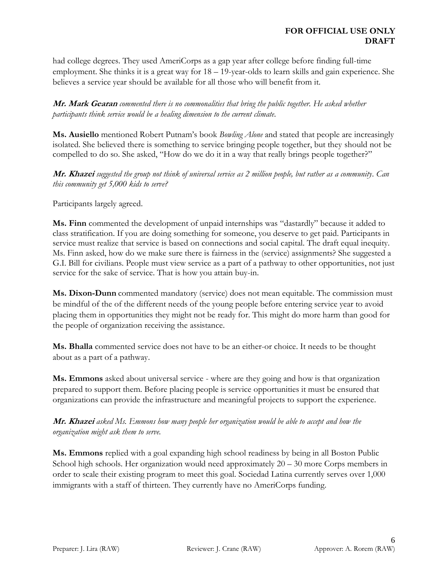had college degrees. They used AmeriCorps as a gap year after college before finding full-time employment. She thinks it is a great way for  $18 - 19$ -year-olds to learn skills and gain experience. She believes a service year should be available for all those who will benefit from it.

**Mr. Mark Gearan** *commented there is no commonalities that bring the public together. He asked whether participants think service would be a healing dimension to the current climate.*

**Ms. Ausiello** mentioned Robert Putnam's book *Bowling Alone* and stated that people are increasingly isolated. She believed there is something to service bringing people together, but they should not be compelled to do so. She asked, "How do we do it in a way that really brings people together?"

**Mr. Khazei** *suggested the group not think of universal service as 2 million people, but rather as a community. Can this community get 5,000 kids to serve?*

Participants largely agreed.

**Ms. Finn** commented the development of unpaid internships was "dastardly" because it added to class stratification. If you are doing something for someone, you deserve to get paid. Participants in service must realize that service is based on connections and social capital. The draft equal inequity. Ms. Finn asked, how do we make sure there is fairness in the (service) assignments? She suggested a G.I. Bill for civilians. People must view service as a part of a pathway to other opportunities, not just service for the sake of service. That is how you attain buy-in.

**Ms. Dixon-Dunn** commented mandatory (service) does not mean equitable. The commission must be mindful of the of the different needs of the young people before entering service year to avoid placing them in opportunities they might not be ready for. This might do more harm than good for the people of organization receiving the assistance.

**Ms. Bhalla** commented service does not have to be an either-or choice. It needs to be thought about as a part of a pathway.

**Ms. Emmons** asked about universal service - where are they going and how is that organization prepared to support them. Before placing people is service opportunities it must be ensured that organizations can provide the infrastructure and meaningful projects to support the experience.

**Mr. Khazei** *asked Ms. Emmons how many people her organization would be able to accept and how the organization might ask them to serve.*

**Ms. Emmons** replied with a goal expanding high school readiness by being in all Boston Public School high schools. Her organization would need approximately 20 – 30 more Corps members in order to scale their existing program to meet this goal. Sociedad Latina currently serves over 1,000 immigrants with a staff of thirteen. They currently have no AmeriCorps funding.